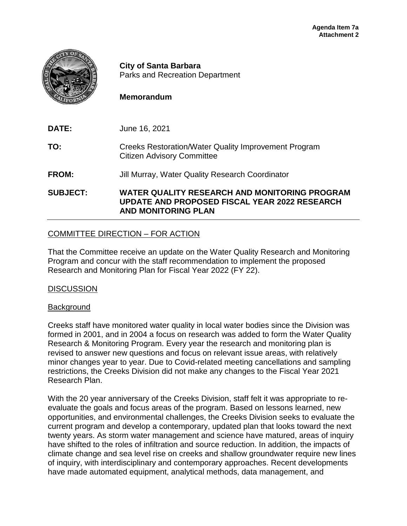

**City of Santa Barbara** Parks and Recreation Department

## **Memorandum**

**DATE:** June 16, 2021

**TO:** Creeks Restoration/Water Quality Improvement Program Citizen Advisory Committee

**FROM:** Jill Murray, Water Quality Research Coordinator

**SUBJECT: WATER QUALITY RESEARCH AND MONITORING PROGRAM UPDATE AND PROPOSED FISCAL YEAR 2022 RESEARCH AND MONITORING PLAN**

# COMMITTEE DIRECTION – FOR ACTION

That the Committee receive an update on the Water Quality Research and Monitoring Program and concur with the staff recommendation to implement the proposed Research and Monitoring Plan for Fiscal Year 2022 (FY 22).

#### **DISCUSSION**

#### **Background**

Creeks staff have monitored water quality in local water bodies since the Division was formed in 2001, and in 2004 a focus on research was added to form the Water Quality Research & Monitoring Program. Every year the research and monitoring plan is revised to answer new questions and focus on relevant issue areas, with relatively minor changes year to year. Due to Covid-related meeting cancellations and sampling restrictions, the Creeks Division did not make any changes to the Fiscal Year 2021 Research Plan.

With the 20 year anniversary of the Creeks Division, staff felt it was appropriate to reevaluate the goals and focus areas of the program. Based on lessons learned, new opportunities, and environmental challenges, the Creeks Division seeks to evaluate the current program and develop a contemporary, updated plan that looks toward the next twenty years. As storm water management and science have matured, areas of inquiry have shifted to the roles of infiltration and source reduction. In addition, the impacts of climate change and sea level rise on creeks and shallow groundwater require new lines of inquiry, with interdisciplinary and contemporary approaches. Recent developments have made automated equipment, analytical methods, data management, and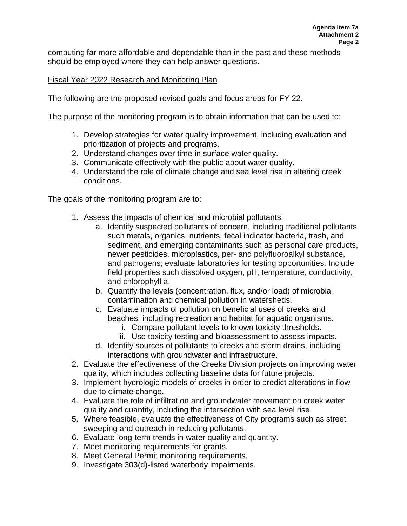computing far more affordable and dependable than in the past and these methods should be employed where they can help answer questions.

## Fiscal Year 2022 Research and Monitoring Plan

The following are the proposed revised goals and focus areas for FY 22.

The purpose of the monitoring program is to obtain information that can be used to:

- 1. Develop strategies for water quality improvement, including evaluation and prioritization of projects and programs.
- 2. Understand changes over time in surface water quality.
- 3. Communicate effectively with the public about water quality.
- 4. Understand the role of climate change and sea level rise in altering creek conditions.

The goals of the monitoring program are to:

- 1. Assess the impacts of chemical and microbial pollutants:
	- a. Identify suspected pollutants of concern, including traditional pollutants such metals, organics, nutrients, fecal indicator bacteria, trash, and sediment, and emerging contaminants such as personal care products, newer pesticides, microplastics, per- and polyfluoroalkyl substance, and pathogens; evaluate laboratories for testing opportunities. Include field properties such dissolved oxygen, pH, temperature, conductivity, and chlorophyll a.
	- b. Quantify the levels (concentration, flux, and/or load) of microbial contamination and chemical pollution in watersheds.
	- c. Evaluate impacts of pollution on beneficial uses of creeks and beaches, including recreation and habitat for aquatic organisms.
		- i. Compare pollutant levels to known toxicity thresholds.
		- ii. Use toxicity testing and bioassessment to assess impacts.
	- d. Identify sources of pollutants to creeks and storm drains, including interactions with groundwater and infrastructure.
- 2. Evaluate the effectiveness of the Creeks Division projects on improving water quality, which includes collecting baseline data for future projects.
- 3. Implement hydrologic models of creeks in order to predict alterations in flow due to climate change.
- 4. Evaluate the role of infiltration and groundwater movement on creek water quality and quantity, including the intersection with sea level rise.
- 5. Where feasible, evaluate the effectiveness of City programs such as street sweeping and outreach in reducing pollutants.
- 6. Evaluate long-term trends in water quality and quantity.
- 7. Meet monitoring requirements for grants.
- 8. Meet General Permit monitoring requirements.
- 9. Investigate 303(d)-listed waterbody impairments.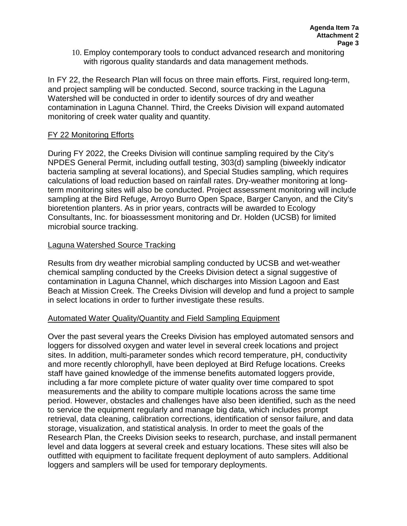10. Employ contemporary tools to conduct advanced research and monitoring with rigorous quality standards and data management methods.

In FY 22, the Research Plan will focus on three main efforts. First, required long-term, and project sampling will be conducted. Second, source tracking in the Laguna Watershed will be conducted in order to identify sources of dry and weather contamination in Laguna Channel. Third, the Creeks Division will expand automated monitoring of creek water quality and quantity.

## FY 22 Monitoring Efforts

During FY 2022, the Creeks Division will continue sampling required by the City's NPDES General Permit, including outfall testing, 303(d) sampling (biweekly indicator bacteria sampling at several locations), and Special Studies sampling, which requires calculations of load reduction based on rainfall rates. Dry-weather monitoring at longterm monitoring sites will also be conducted. Project assessment monitoring will include sampling at the Bird Refuge, Arroyo Burro Open Space, Barger Canyon, and the City's bioretention planters. As in prior years, contracts will be awarded to Ecology Consultants, Inc. for bioassessment monitoring and Dr. Holden (UCSB) for limited microbial source tracking.

#### Laguna Watershed Source Tracking

Results from dry weather microbial sampling conducted by UCSB and wet-weather chemical sampling conducted by the Creeks Division detect a signal suggestive of contamination in Laguna Channel, which discharges into Mission Lagoon and East Beach at Mission Creek. The Creeks Division will develop and fund a project to sample in select locations in order to further investigate these results.

#### Automated Water Quality/Quantity and Field Sampling Equipment

Over the past several years the Creeks Division has employed automated sensors and loggers for dissolved oxygen and water level in several creek locations and project sites. In addition, multi-parameter sondes which record temperature, pH, conductivity and more recently chlorophyll, have been deployed at Bird Refuge locations. Creeks staff have gained knowledge of the immense benefits automated loggers provide, including a far more complete picture of water quality over time compared to spot measurements and the ability to compare multiple locations across the same time period. However, obstacles and challenges have also been identified, such as the need to service the equipment regularly and manage big data, which includes prompt retrieval, data cleaning, calibration corrections, identification of sensor failure, and data storage, visualization, and statistical analysis. In order to meet the goals of the Research Plan, the Creeks Division seeks to research, purchase, and install permanent level and data loggers at several creek and estuary locations. These sites will also be outfitted with equipment to facilitate frequent deployment of auto samplers. Additional loggers and samplers will be used for temporary deployments.